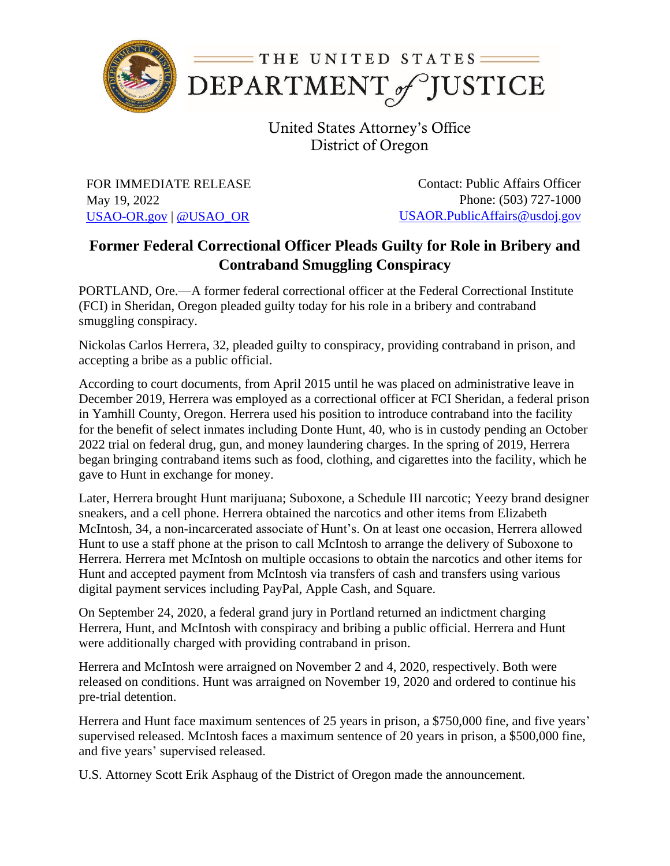

United States Attorney's Office District of Oregon

FOR IMMEDIATE RELEASE May 19, 2022 [USAO-OR.gov](http://www.usdoj.gov/usao/or) | [@USAO\\_OR](https://twitter.com/USAO_OR)

Contact: Public Affairs Officer Phone: (503) 727-1000 [USAOR.PublicAffairs@usdoj.gov](mailto:usaor.publicaffairs@usdoj.gov)

## **Former Federal Correctional Officer Pleads Guilty for Role in Bribery and Contraband Smuggling Conspiracy**

PORTLAND, Ore.—A former federal correctional officer at the Federal Correctional Institute (FCI) in Sheridan, Oregon pleaded guilty today for his role in a bribery and contraband smuggling conspiracy.

Nickolas Carlos Herrera, 32, pleaded guilty to conspiracy, providing contraband in prison, and accepting a bribe as a public official.

According to court documents, from April 2015 until he was placed on administrative leave in December 2019, Herrera was employed as a correctional officer at FCI Sheridan, a federal prison in Yamhill County, Oregon. Herrera used his position to introduce contraband into the facility for the benefit of select inmates including Donte Hunt, 40, who is in custody pending an October 2022 trial on federal drug, gun, and money laundering charges. In the spring of 2019, Herrera began bringing contraband items such as food, clothing, and cigarettes into the facility, which he gave to Hunt in exchange for money.

Later, Herrera brought Hunt marijuana; Suboxone, a Schedule III narcotic; Yeezy brand designer sneakers, and a cell phone. Herrera obtained the narcotics and other items from Elizabeth McIntosh, 34, a non-incarcerated associate of Hunt's. On at least one occasion, Herrera allowed Hunt to use a staff phone at the prison to call McIntosh to arrange the delivery of Suboxone to Herrera. Herrera met McIntosh on multiple occasions to obtain the narcotics and other items for Hunt and accepted payment from McIntosh via transfers of cash and transfers using various digital payment services including PayPal, Apple Cash, and Square.

On September 24, 2020, a federal grand jury in Portland returned an indictment charging Herrera, Hunt, and McIntosh with conspiracy and bribing a public official. Herrera and Hunt were additionally charged with providing contraband in prison.

Herrera and McIntosh were arraigned on November 2 and 4, 2020, respectively. Both were released on conditions. Hunt was arraigned on November 19, 2020 and ordered to continue his pre-trial detention.

Herrera and Hunt face maximum sentences of 25 years in prison, a \$750,000 fine, and five years' supervised released. McIntosh faces a maximum sentence of 20 years in prison, a \$500,000 fine, and five years' supervised released.

U.S. Attorney Scott Erik Asphaug of the District of Oregon made the announcement.